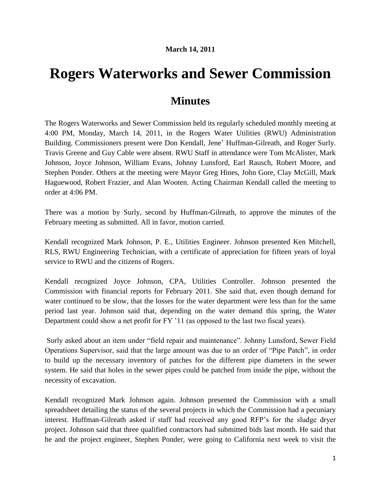## **Rogers Waterworks and Sewer Commission**

## **Minutes**

The Rogers Waterworks and Sewer Commission held its regularly scheduled monthly meeting at 4:00 PM, Monday, March 14, 2011, in the Rogers Water Utilities (RWU) Administration Building. Commissioners present were Don Kendall, Jene' Huffman-Gilreath, and Roger Surly. Travis Greene and Guy Cable were absent. RWU Staff in attendance were Tom McAlister, Mark Johnson, Joyce Johnson, William Evans, Johnny Lunsford, Earl Rausch, Robert Moore, and Stephen Ponder. Others at the meeting were Mayor Greg Hines, John Gore, Clay McGill, Mark Haguewood, Robert Frazier, and Alan Wooten. Acting Chairman Kendall called the meeting to order at 4:06 PM.

There was a motion by Surly, second by Huffman-Gilreath, to approve the minutes of the February meeting as submitted. All in favor, motion carried.

Kendall recognized Mark Johnson, P. E., Utilities Engineer. Johnson presented Ken Mitchell, RLS, RWU Engineering Technician, with a certificate of appreciation for fifteen years of loyal service to RWU and the citizens of Rogers.

Kendall recognized Joyce Johnson, CPA, Utilities Controller. Johnson presented the Commission with financial reports for February 2011. She said that, even though demand for water continued to be slow, that the losses for the water department were less than for the same period last year. Johnson said that, depending on the water demand this spring, the Water Department could show a net profit for FY '11 (as opposed to the last two fiscal years).

Surly asked about an item under "field repair and maintenance". Johnny Lunsford, Sewer Field Operations Supervisor, said that the large amount was due to an order of "Pipe Patch", in order to build up the necessary inventory of patches for the different pipe diameters in the sewer system. He said that holes in the sewer pipes could be patched from inside the pipe, without the necessity of excavation.

Kendall recognized Mark Johnson again. Johnson presented the Commission with a small spreadsheet detailing the status of the several projects in which the Commission had a pecuniary interest. Huffman-Gilreath asked if staff had received any good RFP's for the sludge dryer project. Johnson said that three qualified contractors had submitted bids last month. He said that he and the project engineer, Stephen Ponder, were going to California next week to visit the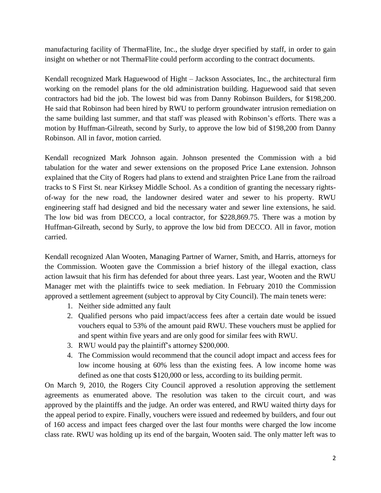manufacturing facility of ThermaFlite, Inc., the sludge dryer specified by staff, in order to gain insight on whether or not ThermaFlite could perform according to the contract documents.

Kendall recognized Mark Haguewood of Hight – Jackson Associates, Inc., the architectural firm working on the remodel plans for the old administration building. Haguewood said that seven contractors had bid the job. The lowest bid was from Danny Robinson Builders, for \$198,200. He said that Robinson had been hired by RWU to perform groundwater intrusion remediation on the same building last summer, and that staff was pleased with Robinson's efforts. There was a motion by Huffman-Gilreath, second by Surly, to approve the low bid of \$198,200 from Danny Robinson. All in favor, motion carried.

Kendall recognized Mark Johnson again. Johnson presented the Commission with a bid tabulation for the water and sewer extensions on the proposed Price Lane extension. Johnson explained that the City of Rogers had plans to extend and straighten Price Lane from the railroad tracks to S First St. near Kirksey Middle School. As a condition of granting the necessary rightsof-way for the new road, the landowner desired water and sewer to his property. RWU engineering staff had designed and bid the necessary water and sewer line extensions, he said. The low bid was from DECCO, a local contractor, for \$228,869.75. There was a motion by Huffman-Gilreath, second by Surly, to approve the low bid from DECCO. All in favor, motion carried.

Kendall recognized Alan Wooten, Managing Partner of Warner, Smith, and Harris, attorneys for the Commission. Wooten gave the Commission a brief history of the illegal exaction, class action lawsuit that his firm has defended for about three years. Last year, Wooten and the RWU Manager met with the plaintiffs twice to seek mediation. In February 2010 the Commission approved a settlement agreement (subject to approval by City Council). The main tenets were:

- 1. Neither side admitted any fault
- 2. Qualified persons who paid impact/access fees after a certain date would be issued vouchers equal to 53% of the amount paid RWU. These vouchers must be applied for and spent within five years and are only good for similar fees with RWU.
- 3. RWU would pay the plaintiff's attorney \$200,000.
- 4. The Commission would recommend that the council adopt impact and access fees for low income housing at 60% less than the existing fees. A low income home was defined as one that costs \$120,000 or less, according to its building permit.

On March 9, 2010, the Rogers City Council approved a resolution approving the settlement agreements as enumerated above. The resolution was taken to the circuit court, and was approved by the plaintiffs and the judge. An order was entered, and RWU waited thirty days for the appeal period to expire. Finally, vouchers were issued and redeemed by builders, and four out of 160 access and impact fees charged over the last four months were charged the low income class rate. RWU was holding up its end of the bargain, Wooten said. The only matter left was to